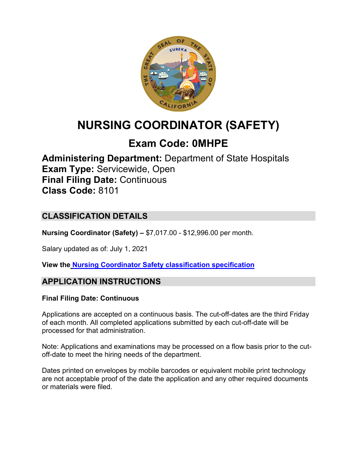

# **NURSING COORDINATOR (SAFETY)**

# **Exam Code: 0MHPE**

**Administering Department:** Department of State Hospitals **Exam Type:** Servicewide, Open **Final Filing Date:** Continuous **Class Code:** 8101

# **CLASSIFICATION DETAILS**

**Nursing Coordinator (Safety) –** \$7,017.00 - \$12,996.00 per month.

Salary updated as of: July 1, 2021

**View the [Nursing Coordinator Safety classification specification](https://www.calhr.ca.gov/state-hr-professionals/pages/8101.aspx)**

# **APPLICATION INSTRUCTIONS**

### **Final Filing Date: Continuous**

Applications are accepted on a continuous basis. The cut-off-dates are the third Friday of each month. All completed applications submitted by each cut-off-date will be processed for that administration.

Note: Applications and examinations may be processed on a flow basis prior to the cutoff-date to meet the hiring needs of the department.

Dates printed on envelopes by mobile barcodes or equivalent mobile print technology are not acceptable proof of the date the application and any other required documents or materials were filed.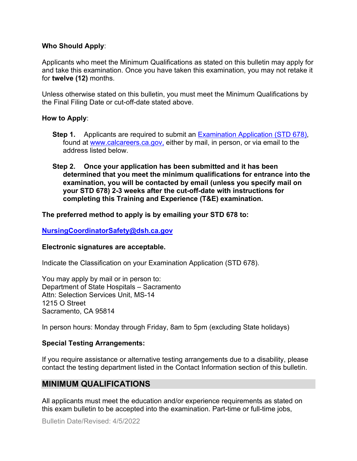#### **Who Should Apply**:

Applicants who meet the Minimum Qualifications as stated on this bulletin may apply for and take this examination. Once you have taken this examination, you may not retake it for **twelve (12)** months.

Unless otherwise stated on this bulletin, you must meet the Minimum Qualifications by the Final Filing Date or cut-off-date stated above.

#### **How to Apply**:

- **Step 1.** Applicants are required to submit an [Examination Application \(STD 678\),](https://jobs.ca.gov/pdf/std678.pdf) found at [www.calcareers.ca.gov,](http://www.calcareers.ca.gov/) either by mail, in person, or via email to the address listed below.
- **Step 2. Once your application has been submitted and it has been determined that you meet the minimum qualifications for entrance into the examination, you will be contacted by email (unless you specify mail on your STD 678) 2-3 weeks after the cut-off-date with instructions for completing this Training and Experience (T&E) examination.**

#### **The preferred method to apply is by emailing your STD 678 to:**

#### **[NursingCoordinatorSafety@dsh.ca.gov](mailto:NursingCoordinatorSafety@dsh.ca.gov)**

#### **Electronic signatures are acceptable.**

Indicate the Classification on your Examination Application (STD 678).

You may apply by mail or in person to: Department of State Hospitals – Sacramento Attn: Selection Services Unit, MS-14 1215 O Street Sacramento, CA 95814

In person hours: Monday through Friday, 8am to 5pm (excluding State holidays)

#### **Special Testing Arrangements:**

If you require assistance or alternative testing arrangements due to a disability, please contact the testing department listed in the Contact Information section of this bulletin.

# **MINIMUM QUALIFICATIONS**

All applicants must meet the education and/or experience requirements as stated on this exam bulletin to be accepted into the examination. Part-time or full-time jobs,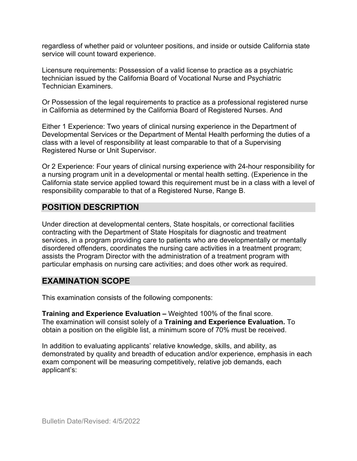regardless of whether paid or volunteer positions, and inside or outside California state service will count toward experience.

Licensure requirements: Possession of a valid license to practice as a psychiatric technician issued by the California Board of Vocational Nurse and Psychiatric Technician Examiners.

Or Possession of the legal requirements to practice as a professional registered nurse in California as determined by the California Board of Registered Nurses. And

Either 1 Experience: Two years of clinical nursing experience in the Department of Developmental Services or the Department of Mental Health performing the duties of a class with a level of responsibility at least comparable to that of a Supervising Registered Nurse or Unit Supervisor.

Or 2 Experience: Four years of clinical nursing experience with 24-hour responsibility for a nursing program unit in a developmental or mental health setting. (Experience in the California state service applied toward this requirement must be in a class with a level of responsibility comparable to that of a Registered Nurse, Range B.

# **POSITION DESCRIPTION**

Under direction at developmental centers, State hospitals, or correctional facilities contracting with the Department of State Hospitals for diagnostic and treatment services, in a program providing care to patients who are developmentally or mentally disordered offenders, coordinates the nursing care activities in a treatment program; assists the Program Director with the administration of a treatment program with particular emphasis on nursing care activities; and does other work as required.

## **EXAMINATION SCOPE**

This examination consists of the following components:

**Training and Experience Evaluation –** Weighted 100% of the final score. The examination will consist solely of a **Training and Experience Evaluation.** To obtain a position on the eligible list, a minimum score of 70% must be received.

In addition to evaluating applicants' relative knowledge, skills, and ability, as demonstrated by quality and breadth of education and/or experience, emphasis in each exam component will be measuring competitively, relative job demands, each applicant's: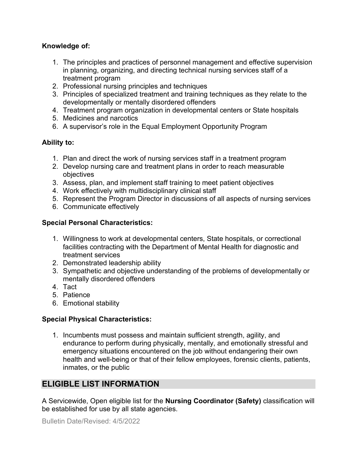### **Knowledge of:**

- 1. The principles and practices of personnel management and effective supervision in planning, organizing, and directing technical nursing services staff of a treatment program
- 2. Professional nursing principles and techniques
- 3. Principles of specialized treatment and training techniques as they relate to the developmentally or mentally disordered offenders
- 4. Treatment program organization in developmental centers or State hospitals
- 5. Medicines and narcotics
- 6. A supervisor's role in the Equal Employment Opportunity Program

## **Ability to:**

- 1. Plan and direct the work of nursing services staff in a treatment program
- 2. Develop nursing care and treatment plans in order to reach measurable objectives
- 3. Assess, plan, and implement staff training to meet patient objectives
- 4. Work effectively with multidisciplinary clinical staff
- 5. Represent the Program Director in discussions of all aspects of nursing services
- 6. Communicate effectively

## **Special Personal Characteristics:**

- 1. Willingness to work at developmental centers, State hospitals, or correctional facilities contracting with the Department of Mental Health for diagnostic and treatment services
- 2. Demonstrated leadership ability
- 3. Sympathetic and objective understanding of the problems of developmentally or mentally disordered offenders
- 4. Tact
- 5. Patience
- 6. Emotional stability

### **Special Physical Characteristics:**

1. Incumbents must possess and maintain sufficient strength, agility, and endurance to perform during physically, mentally, and emotionally stressful and emergency situations encountered on the job without endangering their own health and well-being or that of their fellow employees, forensic clients, patients, inmates, or the public

# **ELIGIBLE LIST INFORMATION**

A Servicewide, Open eligible list for the **Nursing Coordinator (Safety)** classification will be established for use by all state agencies.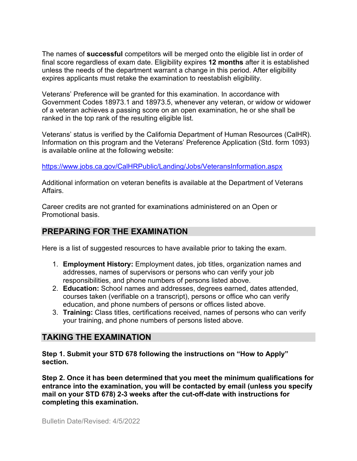The names of **successful** competitors will be merged onto the eligible list in order of final score regardless of exam date. Eligibility expires **12 months** after it is established unless the needs of the department warrant a change in this period. After eligibility expires applicants must retake the examination to reestablish eligibility.

Veterans' Preference will be granted for this examination. In accordance with Government Codes 18973.1 and 18973.5, whenever any veteran, or widow or widower of a veteran achieves a passing score on an open examination, he or she shall be ranked in the top rank of the resulting eligible list.

Veterans' status is verified by the California Department of Human Resources (CalHR). Information on this program and the Veterans' Preference Application (Std. form 1093) is available online at the following website:

<https://www.jobs.ca.gov/CalHRPublic/Landing/Jobs/VeteransInformation.aspx>

Additional information on veteran benefits is available at the Department of Veterans Affairs.

Career credits are not granted for examinations administered on an Open or Promotional basis.

# **PREPARING FOR THE EXAMINATION**

Here is a list of suggested resources to have available prior to taking the exam.

- 1. **Employment History:** Employment dates, job titles, organization names and addresses, names of supervisors or persons who can verify your job responsibilities, and phone numbers of persons listed above.
- 2. **Education:** School names and addresses, degrees earned, dates attended, courses taken (verifiable on a transcript), persons or office who can verify education, and phone numbers of persons or offices listed above.
- 3. **Training:** Class titles, certifications received, names of persons who can verify your training, and phone numbers of persons listed above.

# **TAKING THE EXAMINATION**

**Step 1. Submit your STD 678 following the instructions on "How to Apply" section.**

**Step 2. Once it has been determined that you meet the minimum qualifications for entrance into the examination, you will be contacted by email (unless you specify mail on your STD 678) 2-3 weeks after the cut-off-date with instructions for completing this examination.**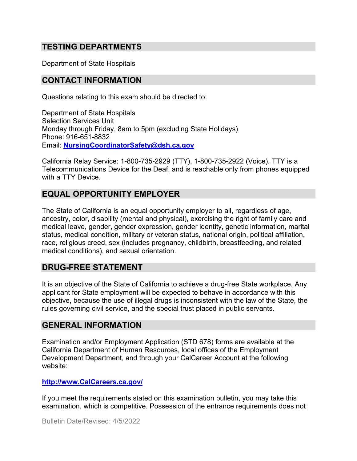## **TESTING DEPARTMENTS**

Department of State Hospitals

## **CONTACT INFORMATION**

Questions relating to this exam should be directed to:

Department of State Hospitals Selection Services Unit Monday through Friday, 8am to 5pm (excluding State Holidays) Phone: 916-651-8832 Email: **[NursingCoordinatorSafety@dsh.ca.gov](mailto:NursingCoordinatorSafety@dsh.ca.gov)**

California Relay Service: 1-800-735-2929 (TTY), 1-800-735-2922 (Voice). TTY is a Telecommunications Device for the Deaf, and is reachable only from phones equipped with a TTY Device.

## **EQUAL OPPORTUNITY EMPLOYER**

The State of California is an equal opportunity employer to all, regardless of age, ancestry, color, disability (mental and physical), exercising the right of family care and medical leave, gender, gender expression, gender identity, genetic information, marital status, medical condition, military or veteran status, national origin, political affiliation, race, religious creed, sex (includes pregnancy, childbirth, breastfeeding, and related medical conditions), and sexual orientation.

## **DRUG-FREE STATEMENT**

It is an objective of the State of California to achieve a drug-free State workplace. Any applicant for State employment will be expected to behave in accordance with this objective, because the use of illegal drugs is inconsistent with the law of the State, the rules governing civil service, and the special trust placed in public servants.

### **GENERAL INFORMATION**

Examination and/or Employment Application (STD 678) forms are available at the California Department of Human Resources, local offices of the Employment Development Department, and through your CalCareer Account at the following website:

#### **http://www.CalCareers.ca.gov/**

If you meet the requirements stated on this examination bulletin, you may take this examination, which is competitive. Possession of the entrance requirements does not